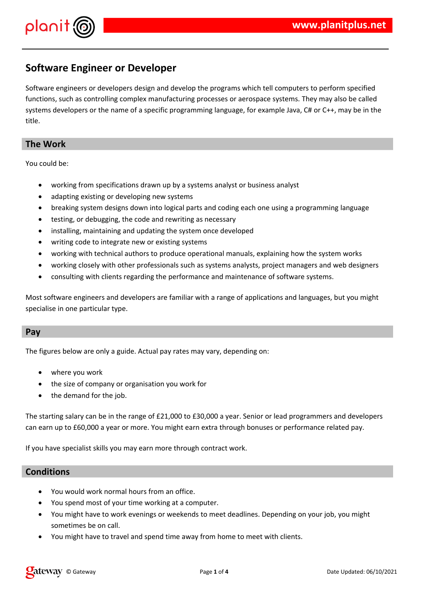



# **Software Engineer or Developer**

Software engineers or developers design and develop the programs which tell computers to perform specified functions, such as controlling complex manufacturing processes or aerospace systems. They may also be called systems developers or the name of a specific programming language, for example Java, C# or C++, may be in the title.

## **The Work**

You could be:

- working from specifications drawn up by a systems analyst or business analyst
- adapting existing or developing new systems
- breaking system designs down into logical parts and coding each one using a programming language
- testing, or debugging, the code and rewriting as necessary
- installing, maintaining and updating the system once developed
- writing code to integrate new or existing systems
- working with technical authors to produce operational manuals, explaining how the system works
- working closely with other professionals such as systems analysts, project managers and web designers
- consulting with clients regarding the performance and maintenance of software systems.

Most software engineers and developers are familiar with a range of applications and languages, but you might specialise in one particular type.

#### **Pay**

The figures below are only a guide. Actual pay rates may vary, depending on:

- where you work
- the size of company or organisation you work for
- the demand for the job.

The starting salary can be in the range of £21,000 to £30,000 a year. Senior or lead programmers and developers can earn up to £60,000 a year or more. You might earn extra through bonuses or performance related pay.

If you have specialist skills you may earn more through contract work.

## **Conditions**

- You would work normal hours from an office.
- You spend most of your time working at a computer.
- You might have to work evenings or weekends to meet deadlines. Depending on your job, you might sometimes be on call.
- You might have to travel and spend time away from home to meet with clients.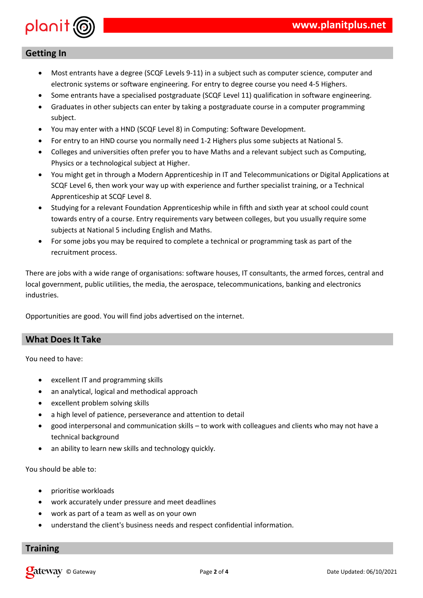

# **Getting In**

- Most entrants have a degree (SCQF Levels 9-11) in a subject such as computer science, computer and electronic systems or software engineering. For entry to degree course you need 4-5 Highers.
- Some entrants have a specialised postgraduate (SCQF Level 11) qualification in software engineering.
- Graduates in other subjects can enter by taking a postgraduate course in a computer programming subject.
- You may enter with a HND (SCQF Level 8) in Computing: Software Development.
- For entry to an HND course you normally need 1-2 Highers plus some subjects at National 5.
- Colleges and universities often prefer you to have Maths and a relevant subject such as Computing, Physics or a technological subject at Higher.
- You might get in through a Modern Apprenticeship in IT and Telecommunications or Digital Applications at SCQF Level 6, then work your way up with experience and further specialist training, or a Technical Apprenticeship at SCQF Level 8.
- Studying for a relevant Foundation Apprenticeship while in fifth and sixth year at school could count towards entry of a course. Entry requirements vary between colleges, but you usually require some subjects at National 5 including English and Maths.
- For some jobs you may be required to complete a technical or programming task as part of the recruitment process.

There are jobs with a wide range of organisations: software houses, IT consultants, the armed forces, central and local government, public utilities, the media, the aerospace, telecommunications, banking and electronics industries.

Opportunities are good. You will find jobs advertised on the internet.

# **What Does It Take**

You need to have:

- excellent IT and programming skills
- an analytical, logical and methodical approach
- excellent problem solving skills
- a high level of patience, perseverance and attention to detail
- good interpersonal and communication skills to work with colleagues and clients who may not have a technical background
- an ability to learn new skills and technology quickly.

You should be able to:

- prioritise workloads
- work accurately under pressure and meet deadlines
- work as part of a team as well as on your own
- understand the client's business needs and respect confidential information.

#### **Training**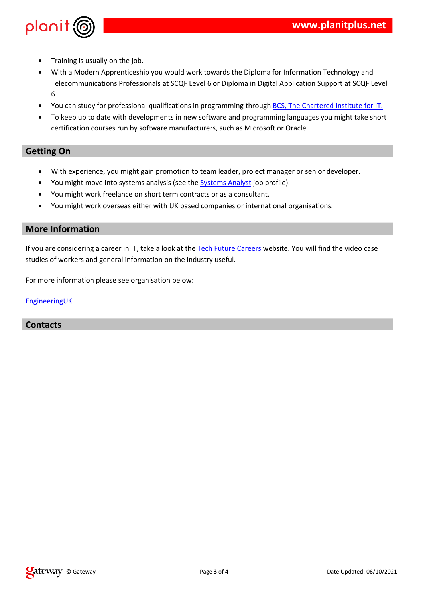